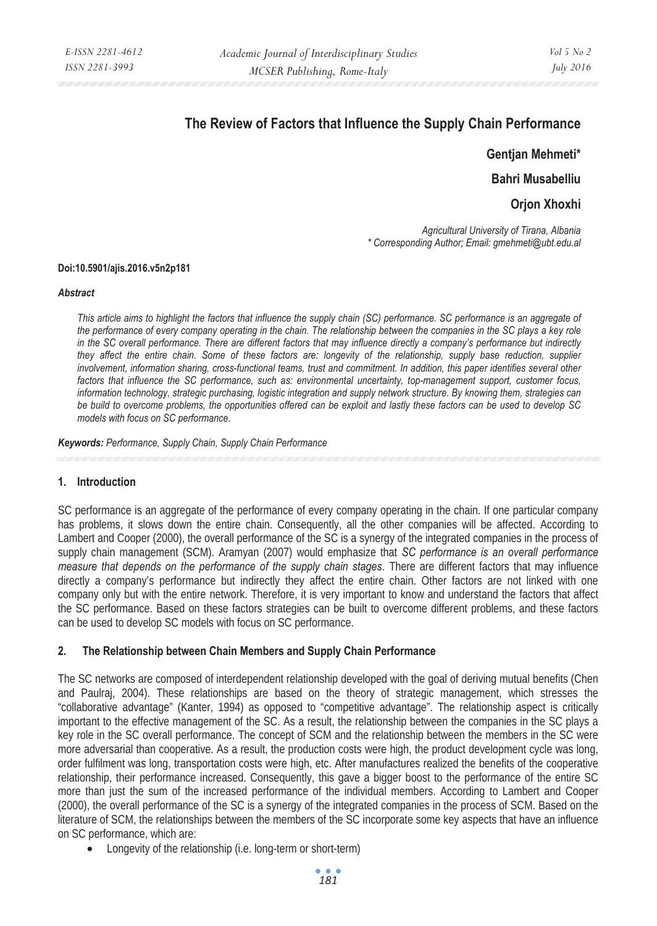# **The Review of Factors that Influence the Supply Chain Performance**

**Gentjan Mehmeti\*** 

**Bahri Musabelliu** 

**Orjon Xhoxhi** 

*Agricultural University of Tirana, Albania \* Corresponding Author; Email: gmehmeti@ubt.edu.al* 

#### **Doi:10.5901/ajis.2016.v5n2p181**

#### *Abstract*

*This article aims to highlight the factors that influence the supply chain (SC) performance. SC performance is an aggregate of the performance of every company operating in the chain. The relationship between the companies in the SC plays a key role in the SC overall performance. There are different factors that may influence directly a company's performance but indirectly they affect the entire chain. Some of these factors are: longevity of the relationship, supply base reduction, supplier involvement, information sharing, cross-functional teams, trust and commitment. In addition, this paper identifies several other*  factors that influence the SC performance, such as: environmental uncertainty, top-management support, customer focus, *information technology, strategic purchasing, logistic integration and supply network structure. By knowing them, strategies can be build to overcome problems, the opportunities offered can be exploit and lastly these factors can be used to develop SC models with focus on SC performance.* 

*Keywords: Performance, Supply Chain, Supply Chain Performance* 

### **1. Introduction**

SC performance is an aggregate of the performance of every company operating in the chain. If one particular company has problems, it slows down the entire chain. Consequently, all the other companies will be affected. According to Lambert and Cooper (2000), the overall performance of the SC is a synergy of the integrated companies in the process of supply chain management (SCM). Aramyan (2007) would emphasize that *SC performance is an overall performance measure that depends on the performance of the supply chain stages*. There are different factors that may influence directly a company's performance but indirectly they affect the entire chain. Other factors are not linked with one company only but with the entire network. Therefore, it is very important to know and understand the factors that affect the SC performance. Based on these factors strategies can be built to overcome different problems, and these factors can be used to develop SC models with focus on SC performance.

### **2. The Relationship between Chain Members and Supply Chain Performance**

The SC networks are composed of interdependent relationship developed with the goal of deriving mutual benefits (Chen and Paulraj, 2004). These relationships are based on the theory of strategic management, which stresses the "collaborative advantage" (Kanter, 1994) as opposed to "competitive advantage". The relationship aspect is critically important to the effective management of the SC. As a result, the relationship between the companies in the SC plays a key role in the SC overall performance. The concept of SCM and the relationship between the members in the SC were more adversarial than cooperative. As a result, the production costs were high, the product development cycle was long, order fulfilment was long, transportation costs were high, etc. After manufactures realized the benefits of the cooperative relationship, their performance increased. Consequently, this gave a bigger boost to the performance of the entire SC more than just the sum of the increased performance of the individual members. According to Lambert and Cooper (2000), the overall performance of the SC is a synergy of the integrated companies in the process of SCM. Based on the literature of SCM, the relationships between the members of the SC incorporate some key aspects that have an influence on SC performance, which are:

• Longevity of the relationship (i.e. long-term or short-term)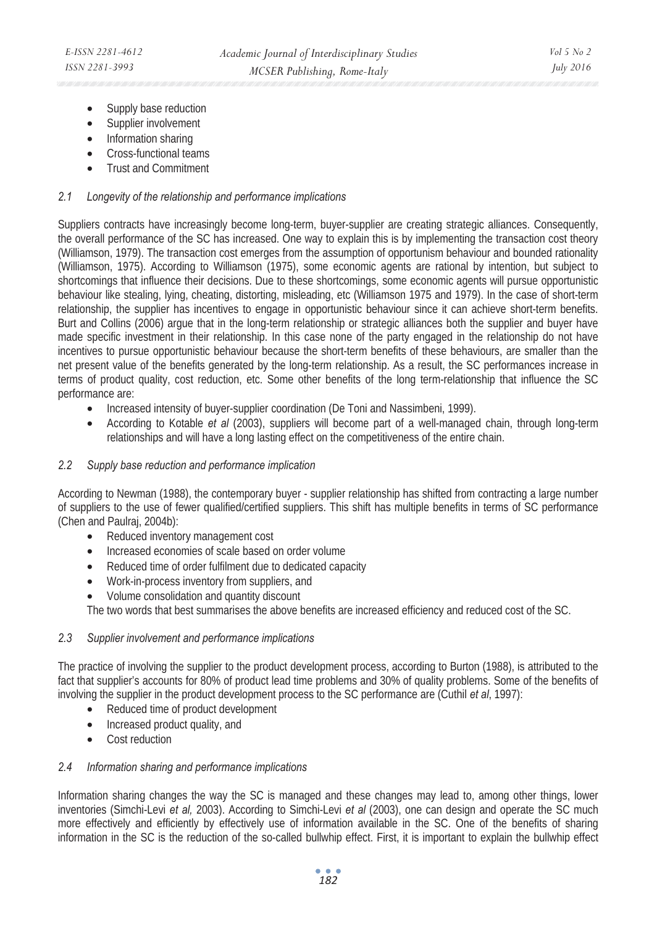- Supply base reduction
- Supplier involvement
- Information sharing
- Cross-functional teams
- Trust and Commitment

# *2.1 Longevity of the relationship and performance implications*

Suppliers contracts have increasingly become long-term, buyer-supplier are creating strategic alliances. Consequently, the overall performance of the SC has increased. One way to explain this is by implementing the transaction cost theory (Williamson, 1979). The transaction cost emerges from the assumption of opportunism behaviour and bounded rationality (Williamson, 1975). According to Williamson (1975), some economic agents are rational by intention, but subject to shortcomings that influence their decisions. Due to these shortcomings, some economic agents will pursue opportunistic behaviour like stealing, lying, cheating, distorting, misleading, etc (Williamson 1975 and 1979). In the case of short-term relationship, the supplier has incentives to engage in opportunistic behaviour since it can achieve short-term benefits. Burt and Collins (2006) argue that in the long-term relationship or strategic alliances both the supplier and buyer have made specific investment in their relationship. In this case none of the party engaged in the relationship do not have incentives to pursue opportunistic behaviour because the short-term benefits of these behaviours, are smaller than the net present value of the benefits generated by the long-term relationship. As a result, the SC performances increase in terms of product quality, cost reduction, etc. Some other benefits of the long term-relationship that influence the SC performance are:

- Increased intensity of buyer-supplier coordination (De Toni and Nassimbeni, 1999).
- According to Kotable *et al* (2003), suppliers will become part of a well-managed chain, through long-term relationships and will have a long lasting effect on the competitiveness of the entire chain.

### *2.2 Supply base reduction and performance implication*

According to Newman (1988), the contemporary buyer - supplier relationship has shifted from contracting a large number of suppliers to the use of fewer qualified/certified suppliers. This shift has multiple benefits in terms of SC performance (Chen and Paulraj, 2004b):

- Reduced inventory management cost
- Increased economies of scale based on order volume
- Reduced time of order fulfilment due to dedicated capacity
- Work-in-process inventory from suppliers, and
- Volume consolidation and quantity discount

The two words that best summarises the above benefits are increased efficiency and reduced cost of the SC.

## *2.3 Supplier involvement and performance implications*

The practice of involving the supplier to the product development process, according to Burton (1988), is attributed to the fact that supplier's accounts for 80% of product lead time problems and 30% of quality problems. Some of the benefits of involving the supplier in the product development process to the SC performance are (Cuthil *et al*, 1997):

- Reduced time of product development
- Increased product quality, and
- Cost reduction

# *2.4 Information sharing and performance implications*

Information sharing changes the way the SC is managed and these changes may lead to, among other things, lower inventories (Simchi-Levi *et al,* 2003). According to Simchi-Levi *et al* (2003), one can design and operate the SC much more effectively and efficiently by effectively use of information available in the SC. One of the benefits of sharing information in the SC is the reduction of the so-called bullwhip effect. First, it is important to explain the bullwhip effect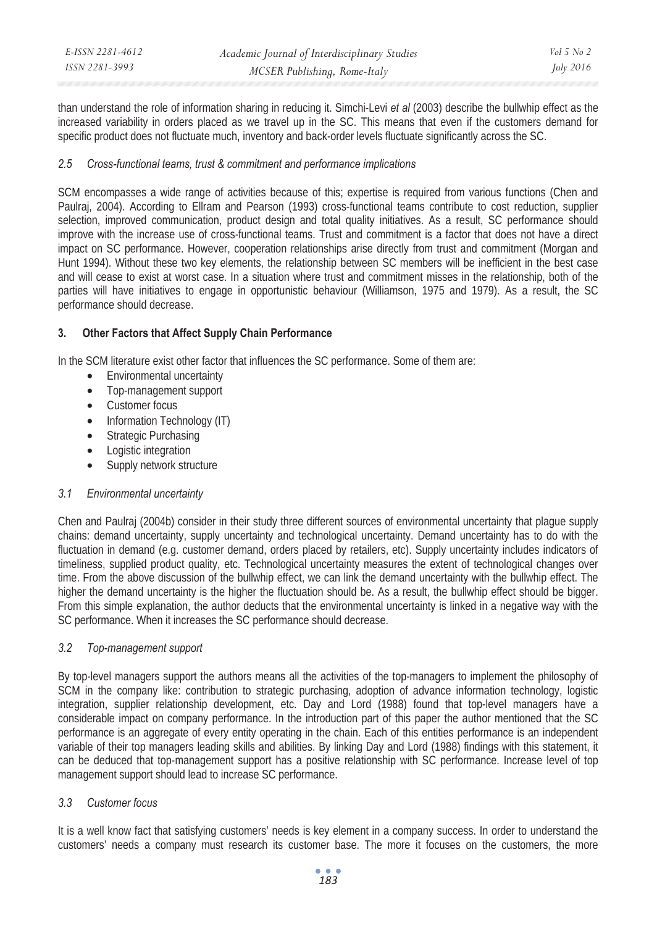than understand the role of information sharing in reducing it. Simchi-Levi *et al* (2003) describe the bullwhip effect as the increased variability in orders placed as we travel up in the SC. This means that even if the customers demand for specific product does not fluctuate much, inventory and back-order levels fluctuate significantly across the SC.

# *2.5 Cross-functional teams, trust & commitment and performance implications*

SCM encompasses a wide range of activities because of this; expertise is required from various functions (Chen and Paulraj, 2004). According to Ellram and Pearson (1993) cross-functional teams contribute to cost reduction, supplier selection, improved communication, product design and total quality initiatives. As a result, SC performance should improve with the increase use of cross-functional teams. Trust and commitment is a factor that does not have a direct impact on SC performance. However, cooperation relationships arise directly from trust and commitment (Morgan and Hunt 1994). Without these two key elements, the relationship between SC members will be inefficient in the best case and will cease to exist at worst case. In a situation where trust and commitment misses in the relationship, both of the parties will have initiatives to engage in opportunistic behaviour (Williamson, 1975 and 1979). As a result, the SC performance should decrease.

# **3. Other Factors that Affect Supply Chain Performance**

In the SCM literature exist other factor that influences the SC performance. Some of them are:

- Environmental uncertainty
- Top-management support
- Customer focus
- Information Technology (IT)
- Strategic Purchasing
- Logistic integration
- Supply network structure

### *3.1 Environmental uncertainty*

Chen and Paulraj (2004b) consider in their study three different sources of environmental uncertainty that plague supply chains: demand uncertainty, supply uncertainty and technological uncertainty. Demand uncertainty has to do with the fluctuation in demand (e.g. customer demand, orders placed by retailers, etc). Supply uncertainty includes indicators of timeliness, supplied product quality, etc. Technological uncertainty measures the extent of technological changes over time. From the above discussion of the bullwhip effect, we can link the demand uncertainty with the bullwhip effect. The higher the demand uncertainty is the higher the fluctuation should be. As a result, the bullwhip effect should be bigger. From this simple explanation, the author deducts that the environmental uncertainty is linked in a negative way with the SC performance. When it increases the SC performance should decrease.

### *3.2 Top-management support*

By top-level managers support the authors means all the activities of the top-managers to implement the philosophy of SCM in the company like: contribution to strategic purchasing, adoption of advance information technology, logistic integration, supplier relationship development, etc. Day and Lord (1988) found that top-level managers have a considerable impact on company performance. In the introduction part of this paper the author mentioned that the SC performance is an aggregate of every entity operating in the chain. Each of this entities performance is an independent variable of their top managers leading skills and abilities. By linking Day and Lord (1988) findings with this statement, it can be deduced that top-management support has a positive relationship with SC performance. Increase level of top management support should lead to increase SC performance.

# *3.3 Customer focus*

It is a well know fact that satisfying customers' needs is key element in a company success. In order to understand the customers' needs a company must research its customer base. The more it focuses on the customers, the more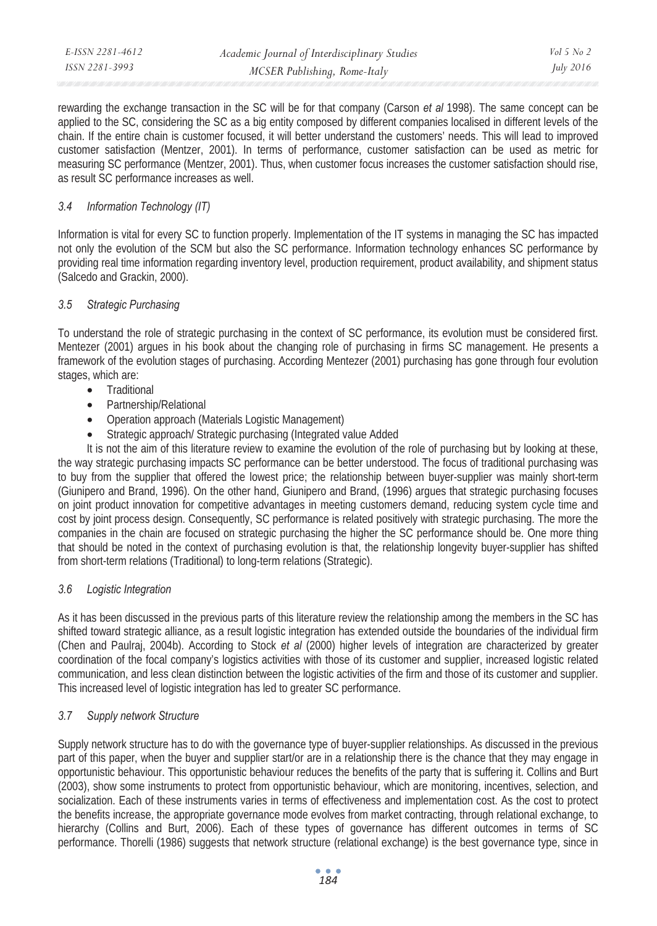| E-ISSN 2281-4612 | Academic Journal of Interdisciplinary Studies | $Vol_5$ No 2     |
|------------------|-----------------------------------------------|------------------|
| ISSN 2281-3993   | MCSER Publishing, Rome-Italy                  | <i>July 2016</i> |

rewarding the exchange transaction in the SC will be for that company (Carson *et al* 1998). The same concept can be applied to the SC, considering the SC as a big entity composed by different companies localised in different levels of the chain. If the entire chain is customer focused, it will better understand the customers' needs. This will lead to improved customer satisfaction (Mentzer, 2001). In terms of performance, customer satisfaction can be used as metric for measuring SC performance (Mentzer, 2001). Thus, when customer focus increases the customer satisfaction should rise, as result SC performance increases as well.

# *3.4 Information Technology (IT)*

Information is vital for every SC to function properly. Implementation of the IT systems in managing the SC has impacted not only the evolution of the SCM but also the SC performance. Information technology enhances SC performance by providing real time information regarding inventory level, production requirement, product availability, and shipment status (Salcedo and Grackin, 2000).

### *3.5 Strategic Purchasing*

To understand the role of strategic purchasing in the context of SC performance, its evolution must be considered first. Mentezer (2001) argues in his book about the changing role of purchasing in firms SC management. He presents a framework of the evolution stages of purchasing. According Mentezer (2001) purchasing has gone through four evolution stages, which are:

- Traditional
- Partnership/Relational
- Operation approach (Materials Logistic Management)
- Strategic approach/ Strategic purchasing (Integrated value Added

It is not the aim of this literature review to examine the evolution of the role of purchasing but by looking at these, the way strategic purchasing impacts SC performance can be better understood. The focus of traditional purchasing was to buy from the supplier that offered the lowest price; the relationship between buyer-supplier was mainly short-term (Giunipero and Brand, 1996). On the other hand, Giunipero and Brand, (1996) argues that strategic purchasing focuses on joint product innovation for competitive advantages in meeting customers demand, reducing system cycle time and cost by joint process design. Consequently, SC performance is related positively with strategic purchasing. The more the companies in the chain are focused on strategic purchasing the higher the SC performance should be. One more thing that should be noted in the context of purchasing evolution is that, the relationship longevity buyer-supplier has shifted from short-term relations (Traditional) to long-term relations (Strategic).

# *3.6 Logistic Integration*

As it has been discussed in the previous parts of this literature review the relationship among the members in the SC has shifted toward strategic alliance, as a result logistic integration has extended outside the boundaries of the individual firm (Chen and Paulraj, 2004b). According to Stock *et al* (2000) higher levels of integration are characterized by greater coordination of the focal company's logistics activities with those of its customer and supplier, increased logistic related communication, and less clean distinction between the logistic activities of the firm and those of its customer and supplier. This increased level of logistic integration has led to greater SC performance.

# *3.7 Supply network Structure*

Supply network structure has to do with the governance type of buyer-supplier relationships. As discussed in the previous part of this paper, when the buyer and supplier start/or are in a relationship there is the chance that they may engage in opportunistic behaviour. This opportunistic behaviour reduces the benefits of the party that is suffering it. Collins and Burt (2003), show some instruments to protect from opportunistic behaviour, which are monitoring, incentives, selection, and socialization. Each of these instruments varies in terms of effectiveness and implementation cost. As the cost to protect the benefits increase, the appropriate governance mode evolves from market contracting, through relational exchange, to hierarchy (Collins and Burt, 2006). Each of these types of governance has different outcomes in terms of SC performance. Thorelli (1986) suggests that network structure (relational exchange) is the best governance type, since in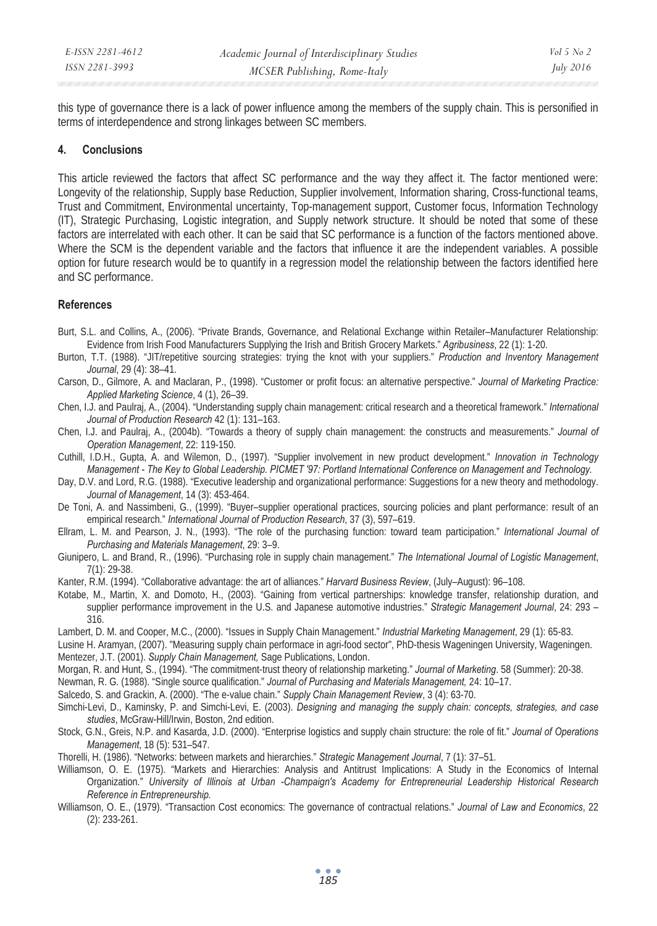this type of governance there is a lack of power influence among the members of the supply chain. This is personified in terms of interdependence and strong linkages between SC members.

#### **4. Conclusions**

This article reviewed the factors that affect SC performance and the way they affect it. The factor mentioned were: Longevity of the relationship, Supply base Reduction, Supplier involvement, Information sharing, Cross-functional teams, Trust and Commitment, Environmental uncertainty, Top-management support, Customer focus, Information Technology (IT), Strategic Purchasing, Logistic integration, and Supply network structure. It should be noted that some of these factors are interrelated with each other. It can be said that SC performance is a function of the factors mentioned above. Where the SCM is the dependent variable and the factors that influence it are the independent variables. A possible option for future research would be to quantify in a regression model the relationship between the factors identified here and SC performance.

#### **References**

- Burt, S.L. and Collins, A., (2006). "Private Brands, Governance, and Relational Exchange within Retailer–Manufacturer Relationship: Evidence from Irish Food Manufacturers Supplying the Irish and British Grocery Markets." *Agribusiness*, 22 (1): 1-20.
- Burton, T.T. (1988). "JIT/repetitive sourcing strategies: trying the knot with your suppliers." *Production and Inventory Management Journal*, 29 (4): 38–41.
- Carson, D., Gilmore, A. and Maclaran, P., (1998). "Customer or profit focus: an alternative perspective." *Journal of Marketing Practice: Applied Marketing Science*, 4 (1), 26–39.
- Chen, I.J. and Paulraj, A., (2004). "Understanding supply chain management: critical research and a theoretical framework." *International Journal of Production Research* 42 (1): 131–163.
- Chen, I.J. and Paulraj, A., (2004b). "Towards a theory of supply chain management: the constructs and measurements." *Journal of Operation Management*, 22: 119-150.
- Cuthill, I.D.H., Gupta, A. and Wilemon, D., (1997). "Supplier involvement in new product development." *Innovation in Technology Management - The Key to Global Leadership. PICMET '97: Portland International Conference on Management and Technology.*
- Day, D.V. and Lord, R.G. (1988). "Executive leadership and organizational performance: Suggestions for a new theory and methodology. *Journal of Management*, 14 (3): 453-464.
- De Toni, A. and Nassimbeni, G., (1999). "Buyer–supplier operational practices, sourcing policies and plant performance: result of an empirical research." *International Journal of Production Research*, 37 (3), 597–619.
- Ellram, L. M. and Pearson, J. N., (1993). "The role of the purchasing function: toward team participation." *International Journal of Purchasing and Materials Management*, 29: 3–9.
- Giunipero, L. and Brand, R., (1996). "Purchasing role in supply chain management." *The International Journal of Logistic Management*, 7(1): 29-38.
- Kanter, R.M. (1994). "Collaborative advantage: the art of alliances." *Harvard Business Review*, (July–August): 96–108.
- Kotabe, M., Martin, X. and Domoto, H., (2003). "Gaining from vertical partnerships: knowledge transfer, relationship duration, and supplier performance improvement in the U.S. and Japanese automotive industries." *Strategic Management Journal*, 24: 293 – 316.
- Lambert, D. M. and Cooper, M.C., (2000). "Issues in Supply Chain Management." *Industrial Marketing Management*, 29 (1): 65-83.
- Lusine H. Aramyan, (2007). "Measuring supply chain performace in agri-food sector", PhD-thesis Wageningen University, Wageningen. Mentezer, J.T. (2001). *Supply Chain Management,* Sage Publications, London.
- Morgan, R. and Hunt, S., (1994). "The commitment-trust theory of relationship marketing." *Journal of Marketing*. 58 (Summer): 20-38.
- Newman, R. G. (1988). "Single source qualification." *Journal of Purchasing and Materials Management,* 24: 10–17.
- Salcedo, S. and Grackin, A. (2000). "The e-value chain." *Supply Chain Management Review*, 3 (4): 63-70.
- Simchi-Levi, D., Kaminsky, P. and Simchi-Levi, E. (2003). *Designing and managing the supply chain: concepts, strategies, and case studies*, McGraw-Hill/Irwin, Boston, 2nd edition.
- Stock, G.N., Greis, N.P. and Kasarda, J.D. (2000). "Enterprise logistics and supply chain structure: the role of fit." *Journal of Operations Management*, 18 (5): 531–547.
- Thorelli, H. (1986). "Networks: between markets and hierarchies." *Strategic Management Journal*, 7 (1): 37–51.
- Williamson, O. E. (1975). "Markets and Hierarchies: Analysis and Antitrust Implications: A Study in the Economics of Internal Organization." *University of Illinois at Urban -Champaign's Academy for Entrepreneurial Leadership Historical Research Reference in Entrepreneurship.*
- Williamson, O. E., (1979). "Transaction Cost economics: The governance of contractual relations." *Journal of Law and Economics*, 22 (2): 233-261.